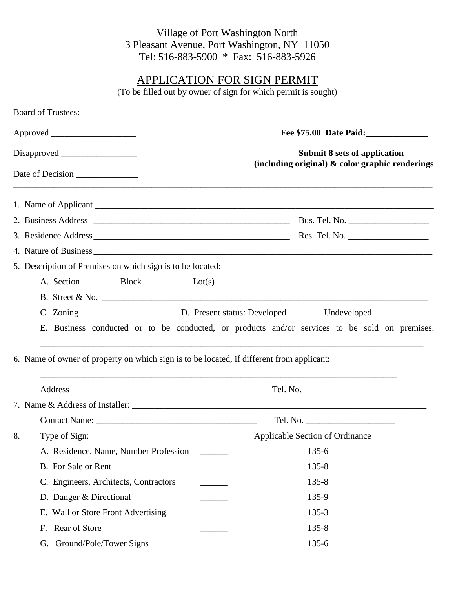## Village of Port Washington North 3 Pleasant Avenue, Port Washington, NY 11050 Tel: 516-883-5900 \* Fax: 516-883-5926

## APPLICATION FOR SIGN PERMIT

(To be filled out by owner of sign for which permit is sought)

| <b>Board of Trustees:</b>                                                                 |                                                                                               |  |  |  |
|-------------------------------------------------------------------------------------------|-----------------------------------------------------------------------------------------------|--|--|--|
|                                                                                           | <b>Fee \$75.00 Date Paid:</b>                                                                 |  |  |  |
|                                                                                           | <b>Submit 8 sets of application</b>                                                           |  |  |  |
| Date of Decision                                                                          | (including original) $\&$ color graphic renderings                                            |  |  |  |
|                                                                                           |                                                                                               |  |  |  |
|                                                                                           |                                                                                               |  |  |  |
|                                                                                           |                                                                                               |  |  |  |
|                                                                                           |                                                                                               |  |  |  |
| 5. Description of Premises on which sign is to be located:                                |                                                                                               |  |  |  |
|                                                                                           |                                                                                               |  |  |  |
|                                                                                           |                                                                                               |  |  |  |
|                                                                                           |                                                                                               |  |  |  |
|                                                                                           | E. Business conducted or to be conducted, or products and/or services to be sold on premises: |  |  |  |
| 6. Name of owner of property on which sign is to be located, if different from applicant: |                                                                                               |  |  |  |
|                                                                                           |                                                                                               |  |  |  |
|                                                                                           |                                                                                               |  |  |  |
| Type of Sign:<br>8.                                                                       | Applicable Section of Ordinance                                                               |  |  |  |
| A. Residence, Name, Number Profession                                                     | $135 - 6$                                                                                     |  |  |  |
| B. For Sale or Rent                                                                       | $135 - 8$                                                                                     |  |  |  |
| C. Engineers, Architects, Contractors                                                     | $135 - 8$                                                                                     |  |  |  |
| D. Danger & Directional                                                                   | 135-9                                                                                         |  |  |  |
| E. Wall or Store Front Advertising                                                        | $135 - 3$                                                                                     |  |  |  |
| Rear of Store<br>F.                                                                       | $135 - 8$                                                                                     |  |  |  |
| G. Ground/Pole/Tower Signs                                                                | 135-6                                                                                         |  |  |  |